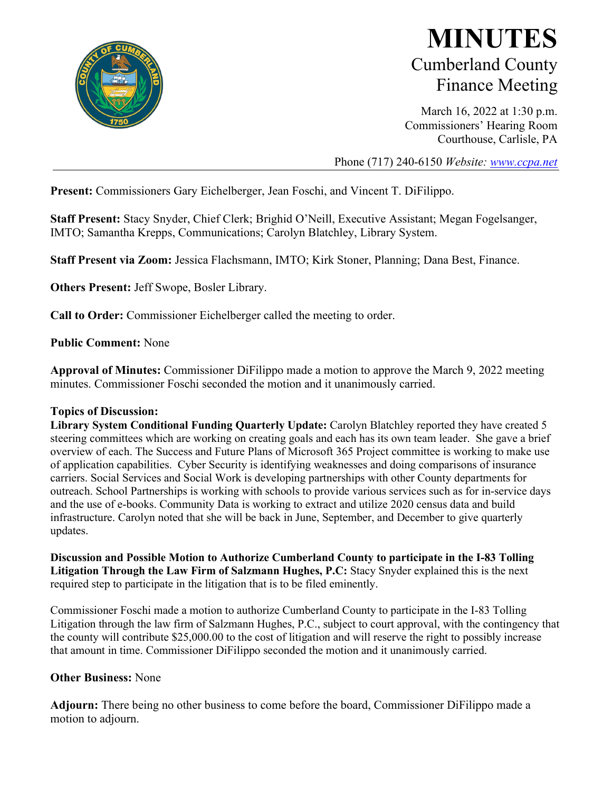

## **MINUTES** Cumberland County Finance Meeting

March 16, 2022 at 1:30 p.m. Commissioners' Hearing Room Courthouse, Carlisle, PA

Phone (717) 240-6150 *Website: [www.ccpa.net](http://www.ccpa.net/)*

**Present:** Commissioners Gary Eichelberger, Jean Foschi, and Vincent T. DiFilippo.

**Staff Present:** Stacy Snyder, Chief Clerk; Brighid O'Neill, Executive Assistant; Megan Fogelsanger, IMTO; Samantha Krepps, Communications; Carolyn Blatchley, Library System.

**Staff Present via Zoom:** Jessica Flachsmann, IMTO; Kirk Stoner, Planning; Dana Best, Finance.

**Others Present:** Jeff Swope, Bosler Library.

**Call to Order:** Commissioner Eichelberger called the meeting to order.

**Public Comment:** None

**Approval of Minutes:** Commissioner DiFilippo made a motion to approve the March 9, 2022 meeting minutes. Commissioner Foschi seconded the motion and it unanimously carried.

## **Topics of Discussion:**

**Library System Conditional Funding Quarterly Update:** Carolyn Blatchley reported they have created 5 steering committees which are working on creating goals and each has its own team leader. She gave a brief overview of each. The Success and Future Plans of Microsoft 365 Project committee is working to make use of application capabilities. Cyber Security is identifying weaknesses and doing comparisons of insurance carriers. Social Services and Social Work is developing partnerships with other County departments for outreach. School Partnerships is working with schools to provide various services such as for in-service days and the use of e-books. Community Data is working to extract and utilize 2020 census data and build infrastructure. Carolyn noted that she will be back in June, September, and December to give quarterly updates.

**Discussion and Possible Motion to Authorize Cumberland County to participate in the I-83 Tolling Litigation Through the Law Firm of Salzmann Hughes, P.C:** Stacy Snyder explained this is the next required step to participate in the litigation that is to be filed eminently.

Commissioner Foschi made a motion to authorize Cumberland County to participate in the I-83 Tolling Litigation through the law firm of Salzmann Hughes, P.C., subject to court approval, with the contingency that the county will contribute \$25,000.00 to the cost of litigation and will reserve the right to possibly increase that amount in time. Commissioner DiFilippo seconded the motion and it unanimously carried.

## **Other Business:** None

**Adjourn:** There being no other business to come before the board, Commissioner DiFilippo made a motion to adjourn.